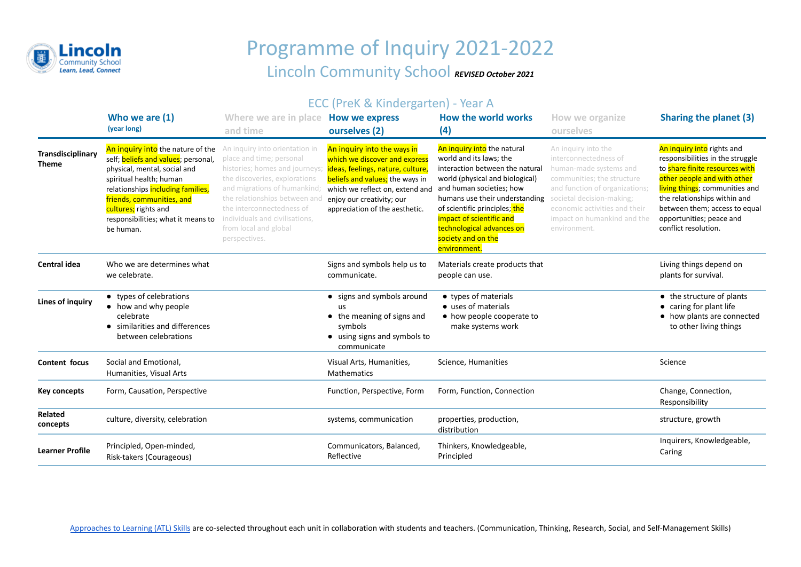

## Programme of Inquiry 2021-2022 Lincoln Community School *REVISED October 2021*

## ECC (PreK & Kindergarten) - Year A

|                                   | Who we are (1)<br>(year long)                                                                                                                                                                                                                                                    | Where we are in place How we express<br>and time                                                                                                                                                                                                                                                       | ourselves (2)                                                                                                                                                                                                                          | How the world works<br>(4)                                                                                                                                                                                                                                                                                                 | How we organize<br>ourselves                                                                                                                                                                                                                        | Sharing the planet (3)                                                                                                                                                                                                                                                                 |
|-----------------------------------|----------------------------------------------------------------------------------------------------------------------------------------------------------------------------------------------------------------------------------------------------------------------------------|--------------------------------------------------------------------------------------------------------------------------------------------------------------------------------------------------------------------------------------------------------------------------------------------------------|----------------------------------------------------------------------------------------------------------------------------------------------------------------------------------------------------------------------------------------|----------------------------------------------------------------------------------------------------------------------------------------------------------------------------------------------------------------------------------------------------------------------------------------------------------------------------|-----------------------------------------------------------------------------------------------------------------------------------------------------------------------------------------------------------------------------------------------------|----------------------------------------------------------------------------------------------------------------------------------------------------------------------------------------------------------------------------------------------------------------------------------------|
| Transdisciplinary<br><b>Theme</b> | An inquiry into the nature of the<br>self; beliefs and values; personal,<br>physical, mental, social and<br>spiritual health; human<br>relationships including families,<br>friends, communities, and<br>cultures; rights and<br>responsibilities; what it means to<br>be human. | An inquiry into orientation in<br>place and time; personal<br>histories; homes and journeys<br>the discoveries, explorations<br>and migrations of humankind;<br>the relationships between and<br>the interconnectedness of<br>individuals and civilisations,<br>from local and global<br>perspectives. | An inquiry into the ways in<br>which we discover and express<br>ideas, feelings, nature, culture,<br>beliefs and values; the ways in<br>which we reflect on, extend and<br>enjoy our creativity; our<br>appreciation of the aesthetic. | An inquiry into the natural<br>world and its laws; the<br>interaction between the natural<br>world (physical and biological)<br>and human societies; how<br>humans use their understanding<br>of scientific principles; the<br>impact of scientific and<br>technological advances on<br>society and on the<br>environment. | An inquiry into the<br>interconnectedness of<br>human-made systems and<br>communities; the structure<br>and function of organizations;<br>societal decision-making;<br>economic activities and their<br>impact on humankind and the<br>environment. | An inquiry into rights and<br>responsibilities in the struggle<br>to share finite resources with<br>other people and with other<br>living things; communities and<br>the relationships within and<br>between them; access to equal<br>opportunities; peace and<br>conflict resolution. |
| <b>Central idea</b>               | Who we are determines what<br>we celebrate.                                                                                                                                                                                                                                      |                                                                                                                                                                                                                                                                                                        | Signs and symbols help us to<br>communicate.                                                                                                                                                                                           | Materials create products that<br>people can use.                                                                                                                                                                                                                                                                          |                                                                                                                                                                                                                                                     | Living things depend on<br>plants for survival.                                                                                                                                                                                                                                        |
| Lines of inquiry                  | • types of celebrations<br>• how and why people<br>celebrate<br>similarities and differences<br>between celebrations                                                                                                                                                             |                                                                                                                                                                                                                                                                                                        | • signs and symbols around<br>us<br>• the meaning of signs and<br>symbols<br>• using signs and symbols to<br>communicate                                                                                                               | • types of materials<br>• uses of materials<br>• how people cooperate to<br>make systems work                                                                                                                                                                                                                              |                                                                                                                                                                                                                                                     | • the structure of plants<br>• caring for plant life<br>• how plants are connected<br>to other living things                                                                                                                                                                           |
| Content focus                     | Social and Emotional,<br>Humanities, Visual Arts                                                                                                                                                                                                                                 |                                                                                                                                                                                                                                                                                                        | Visual Arts, Humanities,<br><b>Mathematics</b>                                                                                                                                                                                         | Science, Humanities                                                                                                                                                                                                                                                                                                        |                                                                                                                                                                                                                                                     | Science                                                                                                                                                                                                                                                                                |
| Key concepts                      | Form, Causation, Perspective                                                                                                                                                                                                                                                     |                                                                                                                                                                                                                                                                                                        | Function, Perspective, Form                                                                                                                                                                                                            | Form, Function, Connection                                                                                                                                                                                                                                                                                                 |                                                                                                                                                                                                                                                     | Change, Connection,<br>Responsibility                                                                                                                                                                                                                                                  |
| Related<br>concepts               | culture, diversity, celebration                                                                                                                                                                                                                                                  |                                                                                                                                                                                                                                                                                                        | systems, communication                                                                                                                                                                                                                 | properties, production,<br>distribution                                                                                                                                                                                                                                                                                    |                                                                                                                                                                                                                                                     | structure, growth                                                                                                                                                                                                                                                                      |
| <b>Learner Profile</b>            | Principled, Open-minded,<br>Risk-takers (Courageous)                                                                                                                                                                                                                             |                                                                                                                                                                                                                                                                                                        | Communicators, Balanced,<br>Reflective                                                                                                                                                                                                 | Thinkers, Knowledgeable,<br>Principled                                                                                                                                                                                                                                                                                     |                                                                                                                                                                                                                                                     | Inquirers, Knowledgeable,<br>Caring                                                                                                                                                                                                                                                    |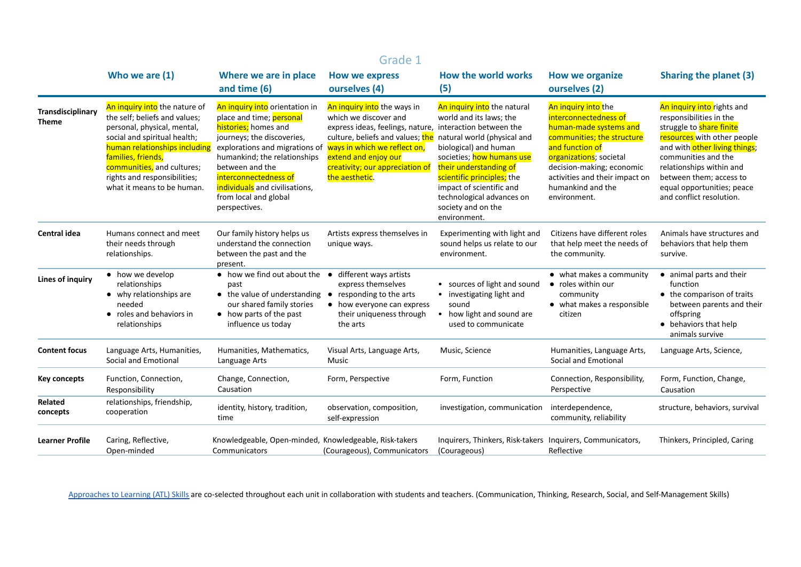|                                   | Grade 1                                                                                                                                                                                                                                                                          |                                                                                                                                                                                                                                                                                                            |                                                                                                                                                                                                                                                                                               |                                                                                                                                                                                                                                                                     |                                                                                                                                                                                                                                                        |                                                                                                                                                                                                                                                                                           |  |
|-----------------------------------|----------------------------------------------------------------------------------------------------------------------------------------------------------------------------------------------------------------------------------------------------------------------------------|------------------------------------------------------------------------------------------------------------------------------------------------------------------------------------------------------------------------------------------------------------------------------------------------------------|-----------------------------------------------------------------------------------------------------------------------------------------------------------------------------------------------------------------------------------------------------------------------------------------------|---------------------------------------------------------------------------------------------------------------------------------------------------------------------------------------------------------------------------------------------------------------------|--------------------------------------------------------------------------------------------------------------------------------------------------------------------------------------------------------------------------------------------------------|-------------------------------------------------------------------------------------------------------------------------------------------------------------------------------------------------------------------------------------------------------------------------------------------|--|
|                                   | Who we are (1)                                                                                                                                                                                                                                                                   | Where we are in place<br>and time (6)                                                                                                                                                                                                                                                                      | <b>How we express</b><br>ourselves (4)                                                                                                                                                                                                                                                        | How the world works<br>(5)                                                                                                                                                                                                                                          | <b>How we organize</b><br>ourselves (2)                                                                                                                                                                                                                | <b>Sharing the planet (3)</b>                                                                                                                                                                                                                                                             |  |
| Transdisciplinary<br><b>Theme</b> | An inquiry into the nature of<br>the self; beliefs and values;<br>personal, physical, mental,<br>social and spiritual health;<br>human relationships including<br>families, friends,<br>communities, and cultures;<br>rights and responsibilities;<br>what it means to be human. | An inquiry into orientation in<br>place and time; personal<br>histories; homes and<br>journeys; the discoveries,<br>explorations and migrations of<br>humankind; the relationships<br>between and the<br>interconnectedness of<br>individuals and civilisations,<br>from local and global<br>perspectives. | An inquiry into the ways in<br>which we discover and<br>express ideas, feelings, nature, interaction between the<br>culture, beliefs and values; the natural world (physical and<br>ways in which we reflect on,<br>extend and enjoy our<br>creativity; our appreciation of<br>the aesthetic. | An inquiry into the natural<br>world and its laws; the<br>biological) and human<br>societies; how humans use<br>their understanding of<br>scientific principles; the<br>impact of scientific and<br>technological advances on<br>society and on the<br>environment. | An inquiry into the<br>interconnectedness of<br>human-made systems and<br>communities; the structure<br>and function of<br>organizations; societal<br>decision-making; economic<br>activities and their impact on<br>humankind and the<br>environment. | An inquiry into rights and<br>responsibilities in the<br>struggle to share finite<br>resources with other people<br>and with other living things;<br>communities and the<br>relationships within and<br>between them; access to<br>equal opportunities; peace<br>and conflict resolution. |  |
| <b>Central idea</b>               | Humans connect and meet<br>their needs through<br>relationships.                                                                                                                                                                                                                 | Our family history helps us<br>understand the connection<br>between the past and the<br>present.                                                                                                                                                                                                           | Artists express themselves in<br>unique ways.                                                                                                                                                                                                                                                 | Experimenting with light and<br>sound helps us relate to our<br>environment.                                                                                                                                                                                        | Citizens have different roles<br>that help meet the needs of<br>the community.                                                                                                                                                                         | Animals have structures and<br>behaviors that help them<br>survive.                                                                                                                                                                                                                       |  |
| Lines of inquiry                  | • how we develop<br>relationships<br>• why relationships are<br>needed<br>• roles and behaviors in<br>relationships                                                                                                                                                              | $\bullet$ how we find out about the $\bullet$<br>past<br>• the value of understanding<br>our shared family stories<br>• how parts of the past<br>influence us today                                                                                                                                        | different ways artists<br>express themselves<br>• responding to the arts<br>• how everyone can express<br>their uniqueness through<br>the arts                                                                                                                                                | sources of light and sound<br>investigating light and<br>$\bullet$<br>sound<br>how light and sound are<br>used to communicate                                                                                                                                       | • what makes a community<br>• roles within our<br>community<br>• what makes a responsible<br>citizen                                                                                                                                                   | • animal parts and their<br>function<br>• the comparison of traits<br>between parents and their<br>offspring<br>• behaviors that help<br>animals survive                                                                                                                                  |  |
| <b>Content focus</b>              | Language Arts, Humanities,<br>Social and Emotional                                                                                                                                                                                                                               | Humanities, Mathematics,<br>Language Arts                                                                                                                                                                                                                                                                  | Visual Arts, Language Arts,<br>Music                                                                                                                                                                                                                                                          | Music, Science                                                                                                                                                                                                                                                      | Humanities, Language Arts,<br>Social and Emotional                                                                                                                                                                                                     | Language Arts, Science,                                                                                                                                                                                                                                                                   |  |
| Key concepts                      | Function, Connection,<br>Responsibility                                                                                                                                                                                                                                          | Change, Connection,<br>Causation                                                                                                                                                                                                                                                                           | Form, Perspective                                                                                                                                                                                                                                                                             | Form, Function                                                                                                                                                                                                                                                      | Connection, Responsibility,<br>Perspective                                                                                                                                                                                                             | Form, Function, Change,<br>Causation                                                                                                                                                                                                                                                      |  |
| Related<br>concepts               | relationships, friendship,<br>cooperation                                                                                                                                                                                                                                        | identity, history, tradition,<br>time                                                                                                                                                                                                                                                                      | observation, composition,<br>self-expression                                                                                                                                                                                                                                                  | investigation, communication                                                                                                                                                                                                                                        | interdependence,<br>community, reliability                                                                                                                                                                                                             | structure, behaviors, survival                                                                                                                                                                                                                                                            |  |
| <b>Learner Profile</b>            | Caring, Reflective,<br>Open-minded                                                                                                                                                                                                                                               | Knowledgeable, Open-minded, Knowledgeable, Risk-takers<br>Communicators                                                                                                                                                                                                                                    | (Courageous), Communicators                                                                                                                                                                                                                                                                   | Inquirers, Thinkers, Risk-takers Inquirers, Communicators,<br>(Courageous)                                                                                                                                                                                          | Reflective                                                                                                                                                                                                                                             | Thinkers, Principled, Caring                                                                                                                                                                                                                                                              |  |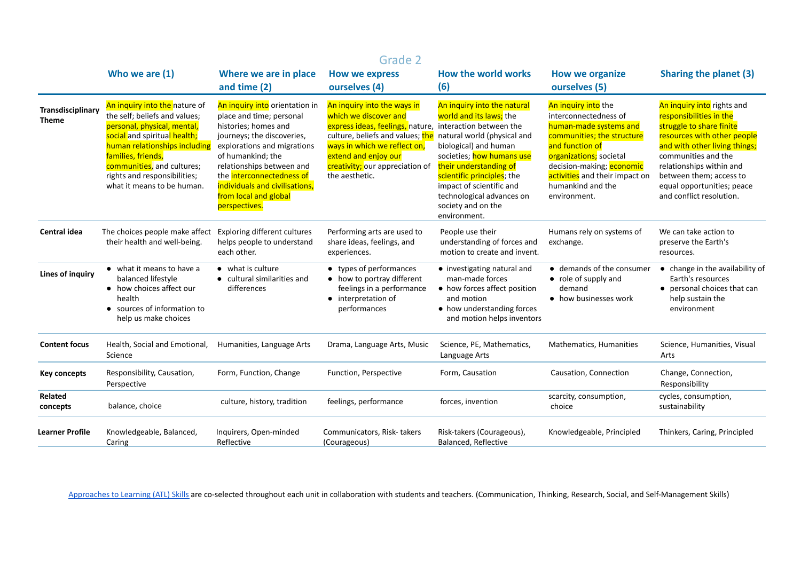|                                   | Grade 2                                                                                                                                                                                                                                                                          |                                                                                                                                                                                                                                                                                                            |                                                                                                                                                                                                                                                                                               |                                                                                                                                                                                                                                                                     |                                                                                                                                                                                                                                                        |                                                                                                                                                                                                                                                                                           |  |
|-----------------------------------|----------------------------------------------------------------------------------------------------------------------------------------------------------------------------------------------------------------------------------------------------------------------------------|------------------------------------------------------------------------------------------------------------------------------------------------------------------------------------------------------------------------------------------------------------------------------------------------------------|-----------------------------------------------------------------------------------------------------------------------------------------------------------------------------------------------------------------------------------------------------------------------------------------------|---------------------------------------------------------------------------------------------------------------------------------------------------------------------------------------------------------------------------------------------------------------------|--------------------------------------------------------------------------------------------------------------------------------------------------------------------------------------------------------------------------------------------------------|-------------------------------------------------------------------------------------------------------------------------------------------------------------------------------------------------------------------------------------------------------------------------------------------|--|
|                                   | Who we are (1)                                                                                                                                                                                                                                                                   | Where we are in place<br>and time (2)                                                                                                                                                                                                                                                                      | <b>How we express</b><br>ourselves (4)                                                                                                                                                                                                                                                        | <b>How the world works</b><br>(6)                                                                                                                                                                                                                                   | <b>How we organize</b><br>ourselves (5)                                                                                                                                                                                                                | <b>Sharing the planet (3)</b>                                                                                                                                                                                                                                                             |  |
| Transdisciplinary<br><b>Theme</b> | An inquiry into the nature of<br>the self; beliefs and values;<br>personal, physical, mental,<br>social and spiritual health;<br>human relationships including<br>families, friends,<br>communities, and cultures;<br>rights and responsibilities;<br>what it means to be human. | An inquiry into orientation in<br>place and time; personal<br>histories; homes and<br>journeys; the discoveries,<br>explorations and migrations<br>of humankind; the<br>relationships between and<br>the interconnectedness of<br>individuals and civilisations,<br>from local and global<br>perspectives. | An inquiry into the ways in<br>which we discover and<br>express ideas, feelings, nature, interaction between the<br>culture, beliefs and values; the natural world (physical and<br>ways in which we reflect on,<br>extend and enjoy our<br>creativity; our appreciation of<br>the aesthetic. | An inquiry into the natural<br>world and its laws; the<br>biological) and human<br>societies; how humans use<br>their understanding of<br>scientific principles; the<br>impact of scientific and<br>technological advances on<br>society and on the<br>environment. | An inquiry into the<br>interconnectedness of<br>human-made systems and<br>communities; the structure<br>and function of<br>organizations; societal<br>decision-making; economic<br>activities and their impact on<br>humankind and the<br>environment. | An inquiry into rights and<br>responsibilities in the<br>struggle to share finite<br>resources with other people<br>and with other living things;<br>communities and the<br>relationships within and<br>between them; access to<br>equal opportunities; peace<br>and conflict resolution. |  |
| <b>Central idea</b>               | The choices people make affect<br>their health and well-being.                                                                                                                                                                                                                   | <b>Exploring different cultures</b><br>helps people to understand<br>each other.                                                                                                                                                                                                                           | Performing arts are used to<br>share ideas, feelings, and<br>experiences.                                                                                                                                                                                                                     | People use their<br>understanding of forces and<br>motion to create and invent.                                                                                                                                                                                     | Humans rely on systems of<br>exchange.                                                                                                                                                                                                                 | We can take action to<br>preserve the Earth's<br>resources.                                                                                                                                                                                                                               |  |
| <b>Lines of inquiry</b>           | • what it means to have a<br>balanced lifestyle<br>• how choices affect our<br>health<br>• sources of information to<br>help us make choices                                                                                                                                     | • what is culture<br>• cultural similarities and<br>differences                                                                                                                                                                                                                                            | • types of performances<br>• how to portray different<br>feelings in a performance<br>• interpretation of<br>performances                                                                                                                                                                     | • investigating natural and<br>man-made forces<br>• how forces affect position<br>and motion<br>• how understanding forces<br>and motion helps inventors                                                                                                            | • demands of the consumer<br>$\bullet$ role of supply and<br>demand<br>• how businesses work                                                                                                                                                           | • change in the availability of<br>Earth's resources<br>• personal choices that can<br>help sustain the<br>environment                                                                                                                                                                    |  |
| <b>Content focus</b>              | Health, Social and Emotional,<br>Science                                                                                                                                                                                                                                         | Humanities, Language Arts                                                                                                                                                                                                                                                                                  | Drama, Language Arts, Music                                                                                                                                                                                                                                                                   | Science, PE, Mathematics,<br>Language Arts                                                                                                                                                                                                                          | Mathematics, Humanities                                                                                                                                                                                                                                | Science, Humanities, Visual<br>Arts                                                                                                                                                                                                                                                       |  |
| <b>Key concepts</b>               | Responsibility, Causation,<br>Perspective                                                                                                                                                                                                                                        | Form, Function, Change                                                                                                                                                                                                                                                                                     | Function, Perspective                                                                                                                                                                                                                                                                         | Form, Causation                                                                                                                                                                                                                                                     | Causation, Connection                                                                                                                                                                                                                                  | Change, Connection,<br>Responsibility                                                                                                                                                                                                                                                     |  |
| Related<br>concepts               | balance, choice                                                                                                                                                                                                                                                                  | culture, history, tradition                                                                                                                                                                                                                                                                                | feelings, performance                                                                                                                                                                                                                                                                         | forces, invention                                                                                                                                                                                                                                                   | scarcity, consumption,<br>choice                                                                                                                                                                                                                       | cycles, consumption,<br>sustainability                                                                                                                                                                                                                                                    |  |
| <b>Learner Profile</b>            | Knowledgeable, Balanced,<br>Caring                                                                                                                                                                                                                                               | Inquirers, Open-minded<br>Reflective                                                                                                                                                                                                                                                                       | Communicators, Risk-takers<br>(Courageous)                                                                                                                                                                                                                                                    | Risk-takers (Courageous),<br>Balanced, Reflective                                                                                                                                                                                                                   | Knowledgeable, Principled                                                                                                                                                                                                                              | Thinkers, Caring, Principled                                                                                                                                                                                                                                                              |  |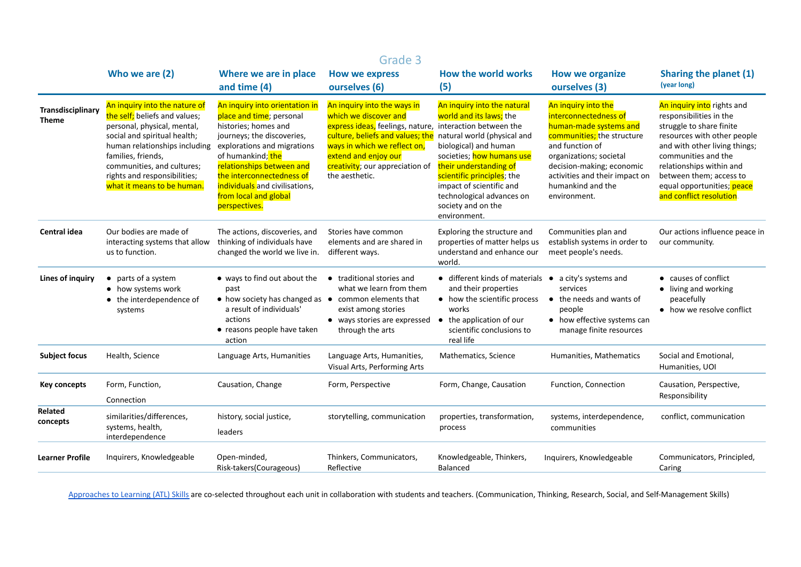|                                   | Grade 3                                                                                                                                                                                                                                                                          |                                                                                                                                                                                                                                                                                                            |                                                                                                                                                                                                                                                                                               |                                                                                                                                                                                                                                                                     |                                                                                                                                                                                                                                                        |                                                                                                                                                                                                                                                                                          |  |
|-----------------------------------|----------------------------------------------------------------------------------------------------------------------------------------------------------------------------------------------------------------------------------------------------------------------------------|------------------------------------------------------------------------------------------------------------------------------------------------------------------------------------------------------------------------------------------------------------------------------------------------------------|-----------------------------------------------------------------------------------------------------------------------------------------------------------------------------------------------------------------------------------------------------------------------------------------------|---------------------------------------------------------------------------------------------------------------------------------------------------------------------------------------------------------------------------------------------------------------------|--------------------------------------------------------------------------------------------------------------------------------------------------------------------------------------------------------------------------------------------------------|------------------------------------------------------------------------------------------------------------------------------------------------------------------------------------------------------------------------------------------------------------------------------------------|--|
|                                   | Who we are (2)                                                                                                                                                                                                                                                                   | Where we are in place<br>and time $(4)$                                                                                                                                                                                                                                                                    | <b>How we express</b><br>ourselves (6)                                                                                                                                                                                                                                                        | <b>How the world works</b><br>(5)                                                                                                                                                                                                                                   | <b>How we organize</b><br>ourselves (3)                                                                                                                                                                                                                | Sharing the planet (1)<br>(year long)                                                                                                                                                                                                                                                    |  |
| Transdisciplinary<br><b>Theme</b> | An inquiry into the nature of<br>the self; beliefs and values;<br>personal, physical, mental,<br>social and spiritual health;<br>human relationships including<br>families, friends,<br>communities, and cultures;<br>rights and responsibilities;<br>what it means to be human. | An inquiry into orientation in<br>place and time; personal<br>histories; homes and<br>journeys; the discoveries,<br>explorations and migrations<br>of humankind; the<br>relationships between and<br>the interconnectedness of<br>individuals and civilisations,<br>from local and global<br>perspectives. | An inquiry into the ways in<br>which we discover and<br>express ideas, feelings, nature, interaction between the<br>culture, beliefs and values; the natural world (physical and<br>ways in which we reflect on,<br>extend and enjoy our<br>creativity; our appreciation of<br>the aesthetic. | An inquiry into the natural<br>world and its laws; the<br>biological) and human<br>societies; how humans use<br>their understanding of<br>scientific principles; the<br>impact of scientific and<br>technological advances on<br>society and on the<br>environment. | An inquiry into the<br>interconnectedness of<br>human-made systems and<br>communities; the structure<br>and function of<br>organizations; societal<br>decision-making; economic<br>activities and their impact on<br>humankind and the<br>environment. | An inquiry into rights and<br>responsibilities in the<br>struggle to share finite<br>resources with other people<br>and with other living things;<br>communities and the<br>relationships within and<br>between them; access to<br>equal opportunities; peace<br>and conflict resolution |  |
| Central idea                      | Our bodies are made of<br>interacting systems that allow<br>us to function.                                                                                                                                                                                                      | The actions, discoveries, and<br>thinking of individuals have<br>changed the world we live in.                                                                                                                                                                                                             | Stories have common<br>elements and are shared in<br>different ways.                                                                                                                                                                                                                          | Exploring the structure and<br>properties of matter helps us<br>understand and enhance our<br>world.                                                                                                                                                                | Communities plan and<br>establish systems in order to<br>meet people's needs.                                                                                                                                                                          | Our actions influence peace in<br>our community.                                                                                                                                                                                                                                         |  |
| <b>Lines of inquiry</b>           | • parts of a system<br>• how systems work<br>• the interdependence of<br>systems                                                                                                                                                                                                 | • ways to find out about the • traditional stories and<br>past<br>• how society has changed as • common elements that<br>a result of individuals'<br>actions<br>• reasons people have taken<br>action                                                                                                      | what we learn from them<br>exist among stories<br>• ways stories are expressed<br>through the arts                                                                                                                                                                                            | $\bullet$ different kinds of materials $\bullet$<br>and their properties<br>• how the scientific process<br>works<br>• the application of our<br>scientific conclusions to<br>real life                                                                             | a city's systems and<br>services<br>$\bullet$ the needs and wants of<br>people<br>• how effective systems can<br>manage finite resources                                                                                                               | • causes of conflict<br>• living and working<br>peacefully<br>• how we resolve conflict                                                                                                                                                                                                  |  |
| <b>Subject focus</b>              | Health, Science                                                                                                                                                                                                                                                                  | Language Arts, Humanities                                                                                                                                                                                                                                                                                  | Language Arts, Humanities,<br>Visual Arts, Performing Arts                                                                                                                                                                                                                                    | Mathematics, Science                                                                                                                                                                                                                                                | Humanities, Mathematics                                                                                                                                                                                                                                | Social and Emotional,<br>Humanities, UOI                                                                                                                                                                                                                                                 |  |
| <b>Key concepts</b>               | Form, Function,<br>Connection                                                                                                                                                                                                                                                    | Causation, Change                                                                                                                                                                                                                                                                                          | Form, Perspective                                                                                                                                                                                                                                                                             | Form, Change, Causation                                                                                                                                                                                                                                             | Function, Connection                                                                                                                                                                                                                                   | Causation, Perspective,<br>Responsibility                                                                                                                                                                                                                                                |  |
| <b>Related</b><br>concepts        | similarities/differences,<br>systems, health,<br>interdependence                                                                                                                                                                                                                 | history, social justice,<br>leaders                                                                                                                                                                                                                                                                        | storytelling, communication                                                                                                                                                                                                                                                                   | properties, transformation,<br>process                                                                                                                                                                                                                              | systems, interdependence,<br>communities                                                                                                                                                                                                               | conflict, communication                                                                                                                                                                                                                                                                  |  |
| <b>Learner Profile</b>            | Inquirers, Knowledgeable                                                                                                                                                                                                                                                         | Open-minded,<br>Risk-takers(Courageous)                                                                                                                                                                                                                                                                    | Thinkers, Communicators,<br>Reflective                                                                                                                                                                                                                                                        | Knowledgeable, Thinkers,<br>Balanced                                                                                                                                                                                                                                | Inquirers, Knowledgeable                                                                                                                                                                                                                               | Communicators, Principled,<br>Caring                                                                                                                                                                                                                                                     |  |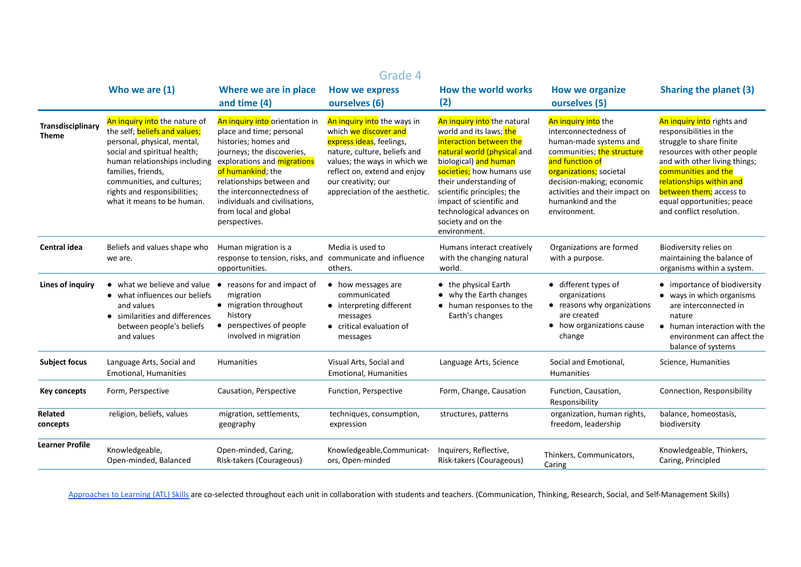|                                   | Grade 4                                                                                                                                                                                                                                                                                 |                                                                                                                                                                                                                                                                                                            |                                                                                                                                                                                                                                           |                                                                                                                                                                                                                                                                                                                               |                                                                                                                                                                                                                                                        |                                                                                                                                                                                                                                                                                           |
|-----------------------------------|-----------------------------------------------------------------------------------------------------------------------------------------------------------------------------------------------------------------------------------------------------------------------------------------|------------------------------------------------------------------------------------------------------------------------------------------------------------------------------------------------------------------------------------------------------------------------------------------------------------|-------------------------------------------------------------------------------------------------------------------------------------------------------------------------------------------------------------------------------------------|-------------------------------------------------------------------------------------------------------------------------------------------------------------------------------------------------------------------------------------------------------------------------------------------------------------------------------|--------------------------------------------------------------------------------------------------------------------------------------------------------------------------------------------------------------------------------------------------------|-------------------------------------------------------------------------------------------------------------------------------------------------------------------------------------------------------------------------------------------------------------------------------------------|
|                                   | Who we are (1)                                                                                                                                                                                                                                                                          | Where we are in place<br>and time $(4)$                                                                                                                                                                                                                                                                    | <b>How we express</b><br>ourselves (6)                                                                                                                                                                                                    | How the world works<br>(2)                                                                                                                                                                                                                                                                                                    | <b>How we organize</b><br>ourselves (5)                                                                                                                                                                                                                | <b>Sharing the planet (3)</b>                                                                                                                                                                                                                                                             |
| Transdisciplinary<br><b>Theme</b> | An inquiry into the nature of<br>the self; <b>beliefs and values;</b><br>personal, physical, mental,<br>social and spiritual health;<br>human relationships including<br>families, friends,<br>communities, and cultures;<br>rights and responsibilities;<br>what it means to be human. | An inquiry into orientation in<br>place and time; personal<br>histories; homes and<br>journeys; the discoveries,<br>explorations and migrations<br>of humankind; the<br>relationships between and<br>the interconnectedness of<br>individuals and civilisations,<br>from local and global<br>perspectives. | An inquiry into the ways in<br>which we discover and<br>express ideas, feelings,<br>nature, culture, beliefs and<br>values; the ways in which we<br>reflect on, extend and enjoy<br>our creativity; our<br>appreciation of the aesthetic. | An inquiry into the natural<br>world and its laws; the<br>interaction between the<br>natural world (physical and<br>biological) and human<br>societies; how humans use<br>their understanding of<br>scientific principles; the<br>impact of scientific and<br>technological advances on<br>society and on the<br>environment. | An inquiry into the<br>interconnectedness of<br>human-made systems and<br>communities; the structure<br>and function of<br>organizations; societal<br>decision-making; economic<br>activities and their impact on<br>humankind and the<br>environment. | An inquiry into rights and<br>responsibilities in the<br>struggle to share finite<br>resources with other people<br>and with other living things;<br>communities and the<br>relationships within and<br>between them; access to<br>equal opportunities; peace<br>and conflict resolution. |
| Central idea                      | Beliefs and values shape who<br>we are.                                                                                                                                                                                                                                                 | Human migration is a<br>response to tension, risks, and communicate and influence<br>opportunities.                                                                                                                                                                                                        | Media is used to<br>others.                                                                                                                                                                                                               | Humans interact creatively<br>with the changing natural<br>world.                                                                                                                                                                                                                                                             | Organizations are formed<br>with a purpose.                                                                                                                                                                                                            | Biodiversity relies on<br>maintaining the balance of<br>organisms within a system.                                                                                                                                                                                                        |
| <b>Lines of inquiry</b>           | • what we believe and value<br>• what influences our beliefs<br>and values<br>similarities and differences<br>between people's beliefs<br>and values                                                                                                                                    | • reasons for and impact of<br>migration<br>• migration throughout<br>history<br>• perspectives of people<br>involved in migration                                                                                                                                                                         | • how messages are<br>communicated<br>• interpreting different<br>messages<br>• critical evaluation of<br>messages                                                                                                                        | • the physical Earth<br>• why the Earth changes<br>• human responses to the<br>Earth's changes                                                                                                                                                                                                                                | • different types of<br>organizations<br>• reasons why organizations<br>are created<br>• how organizations cause<br>change                                                                                                                             | • importance of biodiversity<br>• ways in which organisms<br>are interconnected in<br>nature<br>• human interaction with the<br>environment can affect the<br>balance of systems                                                                                                          |
| <b>Subject focus</b>              | Language Arts, Social and<br><b>Emotional, Humanities</b>                                                                                                                                                                                                                               | <b>Humanities</b>                                                                                                                                                                                                                                                                                          | Visual Arts, Social and<br><b>Emotional, Humanities</b>                                                                                                                                                                                   | Language Arts, Science                                                                                                                                                                                                                                                                                                        | Social and Emotional,<br><b>Humanities</b>                                                                                                                                                                                                             | Science, Humanities                                                                                                                                                                                                                                                                       |
| <b>Key concepts</b>               | Form, Perspective                                                                                                                                                                                                                                                                       | Causation, Perspective                                                                                                                                                                                                                                                                                     | Function, Perspective                                                                                                                                                                                                                     | Form, Change, Causation                                                                                                                                                                                                                                                                                                       | Function, Causation,<br>Responsibility                                                                                                                                                                                                                 | Connection, Responsibility                                                                                                                                                                                                                                                                |
| Related<br>concepts               | religion, beliefs, values                                                                                                                                                                                                                                                               | migration, settlements,<br>geography                                                                                                                                                                                                                                                                       | techniques, consumption,<br>expression                                                                                                                                                                                                    | structures, patterns                                                                                                                                                                                                                                                                                                          | organization, human rights,<br>freedom, leadership                                                                                                                                                                                                     | balance, homeostasis,<br>biodiversity                                                                                                                                                                                                                                                     |
| <b>Learner Profile</b>            | Knowledgeable,<br>Open-minded, Balanced                                                                                                                                                                                                                                                 | Open-minded, Caring,<br>Risk-takers (Courageous)                                                                                                                                                                                                                                                           | Knowledgeable, Communicat-<br>ors, Open-minded                                                                                                                                                                                            | Inquirers, Reflective,<br>Risk-takers (Courageous)                                                                                                                                                                                                                                                                            | Thinkers, Communicators,<br>Caring                                                                                                                                                                                                                     | Knowledgeable, Thinkers,<br>Caring, Principled                                                                                                                                                                                                                                            |